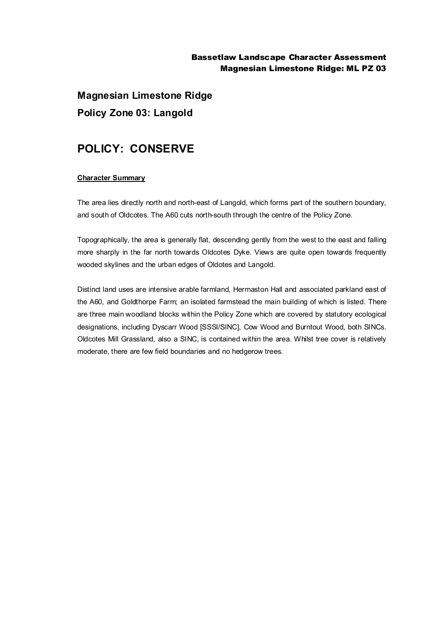## Bassetlaw Landscape Character Assessment Magnesian Limestone Ridge: ML PZ 03

**Magnesian Limestone Ridge Policy Zone 03: Langold**

# **POLICY: CONSERVE**

### **Character Summary**

The area lies directly north and north-east of Langold, which forms part of the southern boundary, and south of Oldcotes. The A60 cuts north-south through the centre of the Policy Zone.

Topographically, the area is generally flat, descending gently from the west to the east and falling more sharply in the far north towards Oldcotes Dyke. Views are quite open towards frequently wooded skylines and the urban edges of Oldotes and Langold.

Distinct land uses are intensive arable farmland, Hermaston Hall and associated parkland east of the A60, and Goldthorpe Farm; an isolated farmstead the main building of which is listed. There are three main woodland blocks within the Policy Zone which are covered by statutory ecological designations, including Dyscarr Wood [SSSI/SINC], Cow Wood and Burntout Wood, both SINCs. Oldcotes Mill Grassland, also a SINC, is contained within the area. Whilst tree cover is relatively moderate, there are few field boundaries and no hedgerow trees.